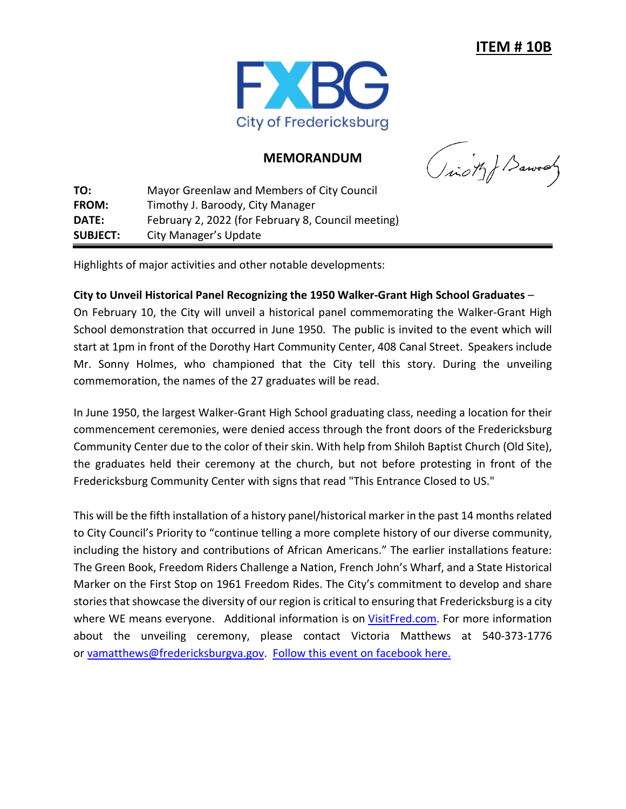

## **MEMORANDUM**

(ion) Barvay

**TO:** Mayor Greenlaw and Members of City Council **FROM:** Timothy J. Baroody, City Manager **DATE:** February 2, 2022 (for February 8, Council meeting) **SUBJECT:** City Manager's Update

Highlights of major activities and other notable developments:

## **City to Unveil Historical Panel Recognizing the 1950 Walker-Grant High School Graduates** –

On February 10, the City will unveil a historical panel commemorating the Walker-Grant High School demonstration that occurred in June 1950. The public is invited to the event which will start at 1pm in front of the Dorothy Hart Community Center, 408 Canal Street. Speakers include Mr. Sonny Holmes, who championed that the City tell this story. During the unveiling commemoration, the names of the 27 graduates will be read.

In June 1950, the largest Walker-Grant High School graduating class, needing a location for their commencement ceremonies, were denied access through the front doors of the Fredericksburg Community Center due to the color of their skin. With help from Shiloh Baptist Church (Old Site), the graduates held their ceremony at the church, but not before protesting in front of the Fredericksburg Community Center with signs that read "This Entrance Closed to US."

This will be the fifth installation of a history panel/historical marker in the past 14 months related to City Council's Priority to "continue telling a more complete history of our diverse community, including the history and contributions of African Americans." The earlier installations feature: The Green Book, Freedom Riders Challenge a Nation, French John's Wharf, and a State Historical Marker on the First Stop on 1961 Freedom Rides. The City's commitment to develop and share stories that showcase the diversity of our region is critical to ensuring that Fredericksburg is a city where WE means everyone. Additional information is on [VisitFred.com.](http://www.visitfred.com/) For more information about the unveiling ceremony, please contact Victoria Matthews at 540-373-1776 or [vamatthews@fredericksburgva.gov.](mailto:vamatthews@fredericksburgva.gov) [Follow this event on facebook here.](https://www.facebook.com/events/278066874417644)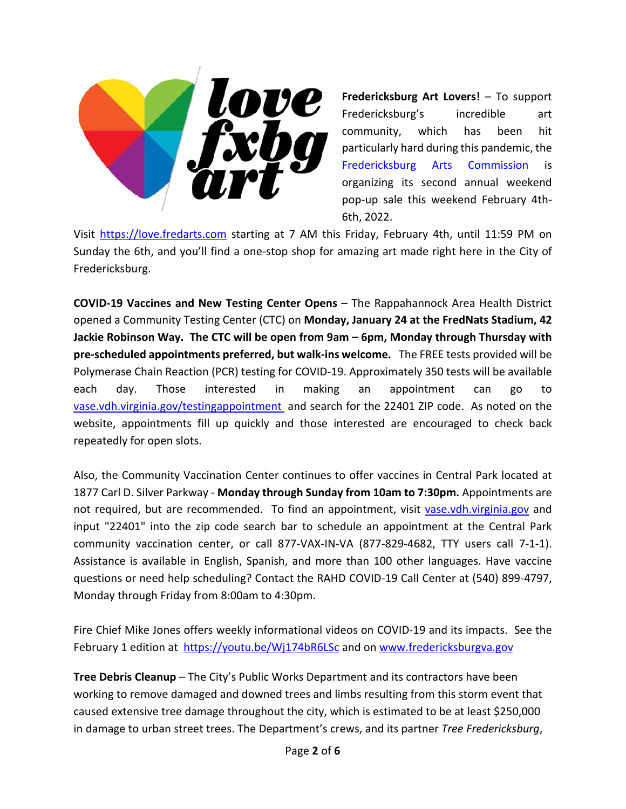

**Fredericksburg Art Lovers!** – To support Fredericksburg's incredible art community, which has been hit particularly hard during this pandemic, the [Fredericksburg](https://www.facebook.com/FredericksburgArtsCommission/?__cft__%5b0%5d=AZWa-f-Z1AA64h_cwaEslWjyNEiZl4IsoH7GpH_UDO5a2uaGCZIW9PY0sobjmiK0OUh0eZYvd6natcNVmHmYdKHu8s52qtWXzTikVUhdUc3IM2CmMUm0k_09d566piAIWV1C-Buuoqwn71Zm2Jyo-_Iv&__tn__=kK-R) Arts Commission is organizing its second annual weekend pop-up sale this weekend February 4th-6th, 2022.

Visit [https://love.fredarts.com](https://love.fredarts.com/?fbclid=IwAR2lkw9kSobDjrYIOWSw2Sc66HZ1_-1GJysoDKi3-YLF6jexrku9aRyIHcY) starting at 7 AM this Friday, February 4th, until 11:59 PM on Sunday the 6th, and you'll find a one-stop shop for amazing art made right here in the City of Fredericksburg.

**COVID-19 Vaccines and New Testing Center Opens** – The Rappahannock Area Health District opened a Community Testing Center (CTC) on **Monday, January 24 at the FredNats Stadium, 42 Jackie Robinson Way. The CTC will be open from 9am – 6pm, Monday through Thursday with pre-scheduled appointments preferred, but walk-ins welcome.** The FREE tests provided will be Polymerase Chain Reaction (PCR) testing for COVID-19. Approximately 350 tests will be available each day. Those interested in making an appointment can go to [vase.vdh.virginia.gov/testingappointment](https://vase.vdh.virginia.gov/vdhapps/f?p=testreg:testingappointments) and search for the 22401 ZIP code. As noted on the website, appointments fill up quickly and those interested are encouraged to check back repeatedly for open slots.

Also, the Community Vaccination Center continues to offer vaccines in Central Park located at 1877 Carl D. Silver Parkway - **Monday through Sunday from 10am to 7:30pm.** Appointments are not required, but are recommended. To find an appointment, visit [vase.vdh.virginia.gov](http://vase.vdh.virginia.gov/) and input "22401" into the zip code search bar to schedule an appointment at the Central Park community vaccination center, or call 877-VAX-IN-VA (877-829-4682, TTY users call 7-1-1). Assistance is available in English, Spanish, and more than 100 other languages. Have vaccine questions or need help scheduling? Contact the RAHD COVID-19 Call Center at (540) 899-4797, Monday through Friday from 8:00am to 4:30pm.

Fire Chief Mike Jones offers weekly informational videos on COVID-19 and its impacts. See the February 1 edition at [https://youtu.be/Wj174bR6LSc](https://l.facebook.com/l.php?u=https%3A%2F%2Fyoutu.be%2FWj174bR6LSc%3Ffbclid%3DIwAR3jy8pFkwIuJSVvhkJ7eCdSD5TgaqSlBkDqo2lJxZUCFO5J1ldnnmYrcC0&h=AT1gigA7eJc8YERMtoa6Ro4ytk2-7et6yRXryc4oExBOpUh36yT4Mo8olWgeK5MqnnvcVU6Bln3hFNzqRbYB9AEjyBQcZCfAQiVAuNqQyON7LnfqShX8pMHBN9L79utCNw&__tn__=-UK-R&c%5b0%5d=AT32OkJKnf4rM8dgI0aZ0l-QOvE7Itkg8keYsu_AB00qQnt7AtQKuR3bFZCjR9eUn4qyQtkWz2t1bo3gj7WkPYqishOa-z2FL79RrqcQwuqHUXUrvro-BMVfLxYkg_8KeNOx3PgMY3ED-8eVm4YcD-B4eqr_2intAhSfdX0YpSkEyg) and on [www.fredericksburgva.gov](http://www.fredericksburgva.gov/)

**Tree Debris Cleanup** – The City's Public Works Department and its contractors have been working to remove damaged and downed trees and limbs resulting from this storm event that caused extensive tree damage throughout the city, which is estimated to be at least \$250,000 in damage to urban street trees. The Department's crews, and its partner *Tree Fredericksburg*,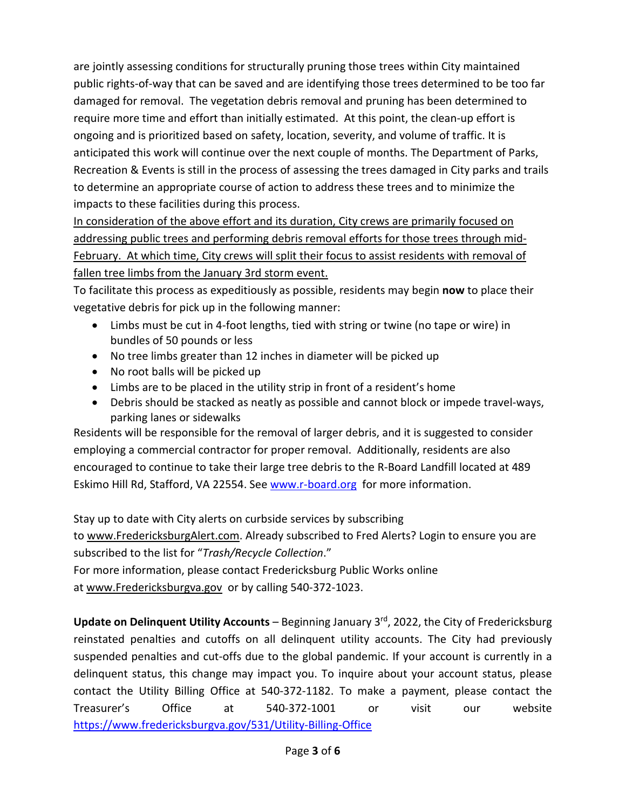are jointly assessing conditions for structurally pruning those trees within City maintained public rights-of-way that can be saved and are identifying those trees determined to be too far damaged for removal. The vegetation debris removal and pruning has been determined to require more time and effort than initially estimated. At this point, the clean-up effort is ongoing and is prioritized based on safety, location, severity, and volume of traffic. It is anticipated this work will continue over the next couple of months. The Department of Parks, Recreation & Events is still in the process of assessing the trees damaged in City parks and trails to determine an appropriate course of action to address these trees and to minimize the impacts to these facilities during this process.

In consideration of the above effort and its duration, City crews are primarily focused on addressing public trees and performing debris removal efforts for those trees through mid-February. At which time, City crews will split their focus to assist residents with removal of fallen tree limbs from the January 3rd storm event.

To facilitate this process as expeditiously as possible, residents may begin **now** to place their vegetative debris for pick up in the following manner:

- Limbs must be cut in 4-foot lengths, tied with string or twine (no tape or wire) in bundles of 50 pounds or less
- No tree limbs greater than 12 inches in diameter will be picked up
- No root balls will be picked up
- Limbs are to be placed in the utility strip in front of a resident's home
- Debris should be stacked as neatly as possible and cannot block or impede travel-ways, parking lanes or sidewalks

Residents will be responsible for the removal of larger debris, and it is suggested to consider employing a commercial contractor for proper removal. Additionally, residents are also encouraged to continue to take their large tree debris to the R-Board Landfill located at 489 Eskimo Hill Rd, Stafford, VA 22554. See [www.r-board.org](http://www.r-board.org/) for more information.

Stay up to date with City alerts on curbside services by subscribing

to [www.FredericksburgAlert.com.](http://www.fredericksburgalert.com/) Already subscribed to Fred Alerts? Login to ensure you are subscribed to the list for "*Trash/Recycle Collection*."

For more information, please contact Fredericksburg Public Works online at [www.Fredericksburgva.gov](https://www.fredericksburgva.gov/459/Public-Works) or by calling 540-372-1023.

Update on Delinquent Utility Accounts – Beginning January 3<sup>rd</sup>, 2022, the City of Fredericksburg reinstated penalties and cutoffs on all delinquent utility accounts. The City had previously suspended penalties and cut-offs due to the global pandemic. If your account is currently in a delinquent status, this change may impact you. To inquire about your account status, please contact the Utility Billing Office at 540-372-1182. To make a payment, please contact the Treasurer's Office at 540-372-1001 or visit our website [https://www.fredericksburgva.gov/531/Utility-Billing-Office](https://www.fredericksburgva.gov/531/Utility-Billing-Office?fbclid=IwAR0VdHB18QftYAdbYPQ-gkkvBMUQqRJtjgmQRx-sBpqUFKdfyzv0CFLgXI0)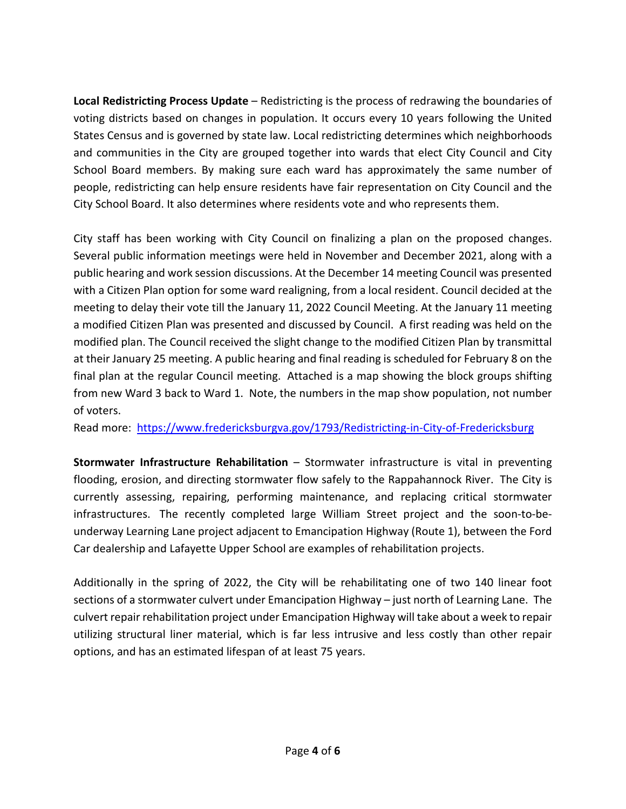**Local Redistricting Process Update** – Redistricting is the process of redrawing the boundaries of voting districts based on changes in population. It occurs every 10 years following the United States Census and is governed by state law. Local redistricting determines which neighborhoods and communities in the City are grouped together into wards that elect City Council and City School Board members. By making sure each ward has approximately the same number of people, redistricting can help ensure residents have fair representation on City Council and the City School Board. It also determines where residents vote and who represents them.

City staff has been working with City Council on finalizing a plan on the proposed changes. Several public information meetings were held in November and December 2021, along with a public hearing and work session discussions. At the December 14 meeting Council was presented with a Citizen Plan option for some ward realigning, from a local resident. Council decided at the meeting to delay their vote till the January 11, 2022 Council Meeting. At the January 11 meeting a modified Citizen Plan was presented and discussed by Council. A first reading was held on the modified plan. The Council received the slight change to the modified Citizen Plan by transmittal at their January 25 meeting. A public hearing and final reading is scheduled for February 8 on the final plan at the regular Council meeting. Attached is a map showing the block groups shifting from new Ward 3 back to Ward 1. Note, the numbers in the map show population, not number of voters.

Read more: <https://www.fredericksburgva.gov/1793/Redistricting-in-City-of-Fredericksburg>

**Stormwater Infrastructure Rehabilitation** – Stormwater infrastructure is vital in preventing flooding, erosion, and directing stormwater flow safely to the Rappahannock River. The City is currently assessing, repairing, performing maintenance, and replacing critical stormwater infrastructures. The recently completed large William Street project and the soon-to-beunderway Learning Lane project adjacent to Emancipation Highway (Route 1), between the Ford Car dealership and Lafayette Upper School are examples of rehabilitation projects.

Additionally in the spring of 2022, the City will be rehabilitating one of two 140 linear foot sections of a stormwater culvert under Emancipation Highway – just north of Learning Lane. The culvert repair rehabilitation project under Emancipation Highway will take about a week to repair utilizing structural liner material, which is far less intrusive and less costly than other repair options, and has an estimated lifespan of at least 75 years.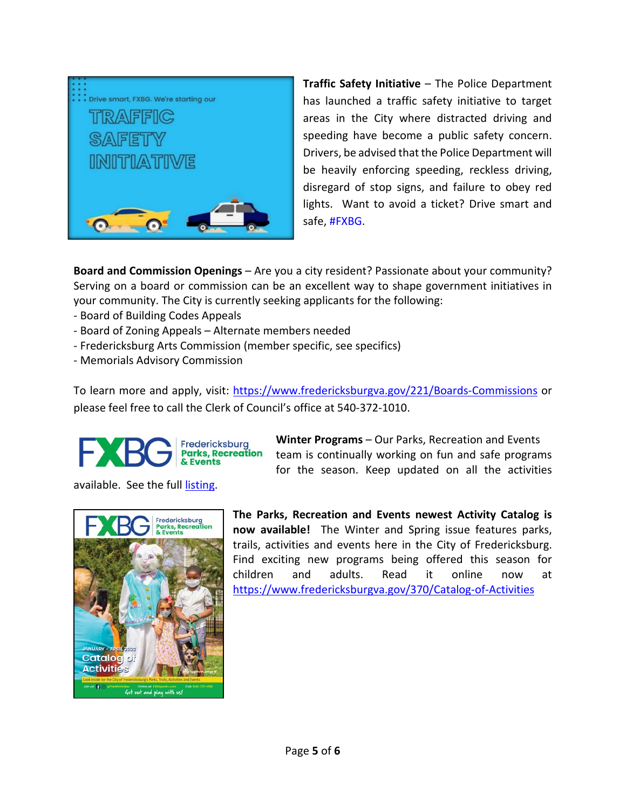

**Traffic Safety Initiative** – The Police Department has launched a traffic safety initiative to target areas in the City where distracted driving and speeding have become a public safety concern. Drivers, be advised that the Police Department will be heavily enforcing speeding, reckless driving, disregard of stop signs, and failure to obey red lights. Want to avoid a ticket? Drive smart and safe, [#FXBG.](https://www.facebook.com/hashtag/fxbg?__eep__=6&__cft__%5b0%5d=AZWMm412bROIAlbQjxD2trcL3Q6v8XYnqGiab-pzxHyZlK2AO3wgxGBRUI7RVwNBLZmZ2AFcmkMI1noIapNQk5FV0YxTW81lYx9j2ZUaF9IJx3uquxKREP9bHkNftL_yP_oJd-S6PtYkPbEURGNVAWGUif-leaDtL7Fd9G0WEMmZNw&__tn__=*NK-R)

**Board and Commission Openings** – Are you a city resident? Passionate about your community? Serving on a board or commission can be an excellent way to shape government initiatives in your community. The City is currently seeking applicants for the following:

- Board of Building Codes Appeals
- Board of Zoning Appeals Alternate members needed
- Fredericksburg Arts Commission (member specific, see specifics)
- Memorials Advisory Commission

To learn more and apply, visit: [https://www.fredericksburgva.gov/221/Boards-Commissions](https://www.fredericksburgva.gov/221/Boards-Commissions?fbclid=IwAR3Swf9IZu1tYdO_SK6yHxjMXxdd4Ba6LVkEpP0zTgegU6_SRsXEh2JIYGY) or please feel free to call the Clerk of Council's office at 540-372-1010.



**Winter Programs** – Our Parks, Recreation and Events team is continually working on fun and safe programs for the season. Keep updated on all the activities

available. See the full [listing.](https://va-fredericksburg2.civicplus.com/363/Parks-Recreation-Events)



**The Parks, Recreation and Events newest Activity Catalog is now available!** The Winter and Spring issue features parks, trails, activities and events here in the City of Fredericksburg. Find exciting new programs being offered this season for children and adults. Read it online now at [https://www.fredericksburgva.gov/370/Catalog-of-Activities](https://www.fredericksburgva.gov/370/Catalog-of-Activities#_blank)